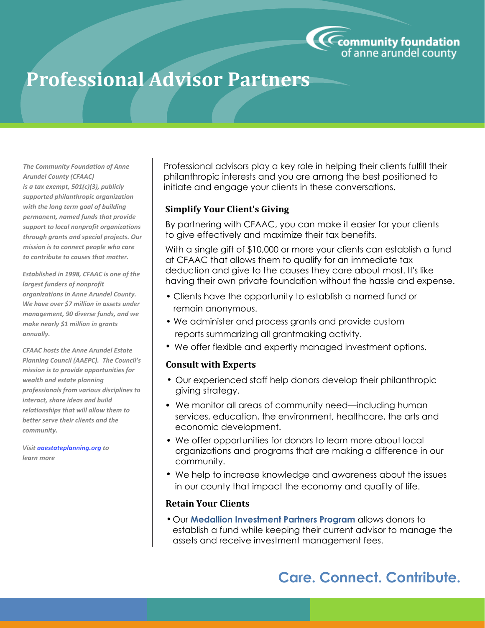

# **Professional Advisor Partners**

*The Community Foundation of Anne Arundel County (CFAAC) is a tax exempt, 501(c)(3), publicly supported philanthropic organization with the long term goal of building permanent, named funds that provide support to local nonprofit organizations through grants and special projects. Our mission is to connect people who care to contribute to causes that matter.*

*Established in 1998, CFAAC is one of the largest funders of nonprofit organizations in Anne Arundel County. We have over \$7 million in assets under management, 90 diverse funds, and we make nearly \$1 million in grants annually.*

*CFAAC hosts the Anne Arundel Estate Planning Council (AAEPC). The Council's mission is to provide opportunities for wealth and estate planning professionals from various disciplines to interact, share ideas and build relationships that will allow them to better serve their clients and the community.*

*Visit aaestateplanning.org to learn more*

Professional advisors play a key role in helping their clients fulfill their philanthropic interests and you are among the best positioned to initiate and engage your clients in these conversations.

### **Simplify Your Client's Giving**

By partnering with CFAAC, you can make it easier for your clients to give effectively and maximize their tax benefits.

With a single gift of \$10,000 or more your clients can establish a fund at CFAAC that allows them to qualify for an immediate tax deduction and give to the causes they care about most. It's like having their own private foundation without the hassle and expense.

- Clients have the opportunity to establish a named fund or remain anonymous.
- We administer and process grants and provide custom reports summarizing all grantmaking activity.
- We offer flexible and expertly managed investment options.

#### **Consult with Experts**

- Our experienced staff help donors develop their philanthropic giving strategy.
- We monitor all areas of community need—including human services, education, the environment, healthcare, the arts and economic development.
- We offer opportunities for donors to learn more about local organizations and programs that are making a difference in our community.
- We help to increase knowledge and awareness about the issues in our county that impact the economy and quality of life.

#### **Retain Your Clients**

Our **Medallion Investment Partners Program** allows donors to • establish a fund while keeping their current advisor to manage the assets and receive investment management fees.

## **Care. Connect. Contribute.**